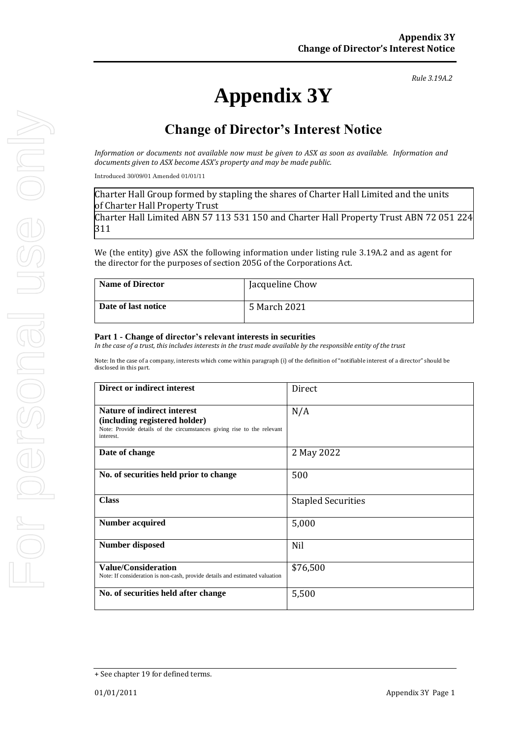# **Appendix 3Y**

*Rule 3.19A.2*

# **Change of Director's Interest Notice**

*Information or documents not available now must be given to ASX as soon as available. Information and documents given to ASX become ASX's property and may be made public.*

Introduced 30/09/01 Amended 01/01/11

Charter Hall Group formed by stapling the shares of Charter Hall Limited and the units of Charter Hall Property Trust

Charter Hall Limited ABN 57 113 531 150 and Charter Hall Property Trust ABN 72 051 224 311

We (the entity) give ASX the following information under listing rule 3.19A.2 and as agent for the director for the purposes of section 205G of the Corporations Act.

| <b>Name of Director</b> | Jacqueline Chow |
|-------------------------|-----------------|
| Date of last notice     | 5 March 2021    |

#### **Part 1 - Change of director's relevant interests in securities**

*In the case of a trust, this includes interests in the trust made available by the responsible entity of the trust*

Note: In the case of a company, interests which come within paragraph (i) of the definition of "notifiable interest of a director" should be disclosed in this part.

| Direct or indirect interest                                                                                                                                | Direct                    |
|------------------------------------------------------------------------------------------------------------------------------------------------------------|---------------------------|
| <b>Nature of indirect interest</b><br>(including registered holder)<br>Note: Provide details of the circumstances giving rise to the relevant<br>interest. | N/A                       |
| Date of change                                                                                                                                             | 2 May 2022                |
| No. of securities held prior to change                                                                                                                     | 500                       |
| <b>Class</b>                                                                                                                                               | <b>Stapled Securities</b> |
| Number acquired                                                                                                                                            | 5,000                     |
| <b>Number disposed</b>                                                                                                                                     | Nil                       |
| <b>Value/Consideration</b><br>Note: If consideration is non-cash, provide details and estimated valuation                                                  | \$76,500                  |
| No. of securities held after change                                                                                                                        | 5,500                     |

For personal use only For personal use onn!

<sup>+</sup> See chapter 19 for defined terms.